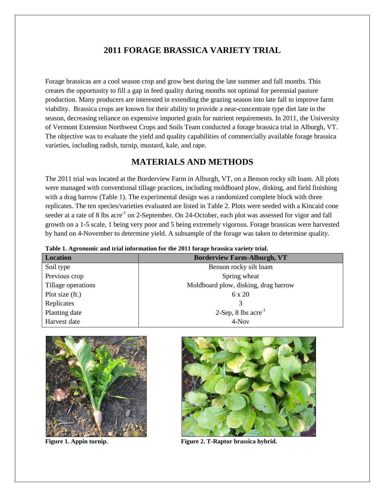## **2011 FORAGE BRASSICA VARIETY TRIAL**

Forage brassicas are a cool season crop and grow best during the late summer and fall months. This creates the opportunity to fill a gap in feed quality during months not optimal for perennial pasture production. Many producers are interested in extending the grazing season into late fall to improve farm viability. Brassica crops are known for their ability to provide a near-concentrate type diet late in the season, decreasing reliance on expensive imported grain for nutrient requirements. In 2011, the University of Vermont Extension Northwest Crops and Soils Team conducted a forage brassica trial in Alburgh, VT. The objective was to evaluate the yield and quality capabilities of commercially available forage brassica varieties, including radish, turnip, mustard, kale, and rape.

## **MATERIALS AND METHODS**

The 2011 trial was located at the Borderview Farm in Alburgh, VT, on a Benson rocky silt loam. All plots were managed with conventional tillage practices, including moldboard plow, disking, and field finishing with a drag harrow (Table 1). The experimental design was a randomized complete block with three replicates. The ten species/varieties evaluated are listed in Table 2. Plots were seeded with a Kincaid cone seeder at a rate of 8 lbs acre<sup>-1</sup> on 2-September. On 24-October, each plot was assessed for vigor and fall growth on a 1-5 scale, 1 being very poor and 5 being extremely vigorous. Forage brassicas were harvested by hand on 4-November to determine yield. A subsample of the forage was taken to determine quality.

| Location           | <b>Borderview Farm-Alburgh, VT</b>   |
|--------------------|--------------------------------------|
| Soil type          | Benson rocky silt loam               |
| Previous crop      | Spring wheat                         |
| Tillage operations | Moldboard plow, disking, drag harrow |
| Plot size (ft.)    | $6 \times 20$                        |
| Replicates         |                                      |
| Planting date      | $2-Sep, 8$ lbs $\arccos 2$           |
| Harvest date       | 4-Nov                                |
|                    |                                      |

**Table 1. Agronomic and trial information for the 2011 forage brassica variety trial.**





**Figure 1. Appin turnip. Figure 2. T-Raptor brassica hybrid.**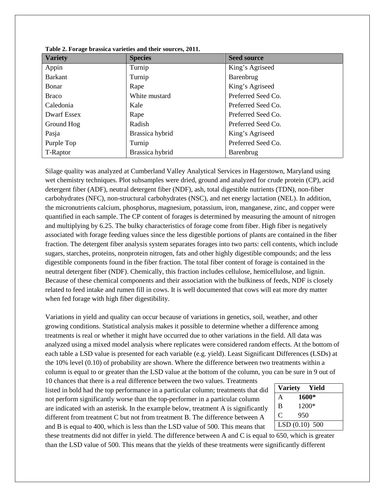| THEIR SET OF $\mathbf{H}_{\mathbf{S}}$ of Hespith Thill will be their boundary set $\mathbf{H}_{\mathbf{S}}$ |                 |                    |  |  |  |  |  |
|--------------------------------------------------------------------------------------------------------------|-----------------|--------------------|--|--|--|--|--|
| <b>Variety</b>                                                                                               | <b>Species</b>  | <b>Seed source</b> |  |  |  |  |  |
| Appin                                                                                                        | Turnip          | King's Agriseed    |  |  |  |  |  |
| <b>Barkant</b>                                                                                               | Turnip          | Barenbrug          |  |  |  |  |  |
| Bonar                                                                                                        | Rape            | King's Agriseed    |  |  |  |  |  |
| <b>Braco</b>                                                                                                 | White mustard   | Preferred Seed Co. |  |  |  |  |  |
| Caledonia                                                                                                    | Kale            | Preferred Seed Co. |  |  |  |  |  |
| <b>Dwarf Essex</b>                                                                                           | Rape            | Preferred Seed Co. |  |  |  |  |  |
| Ground Hog                                                                                                   | Radish          | Preferred Seed Co. |  |  |  |  |  |
| Pasja                                                                                                        | Brassica hybrid | King's Agriseed    |  |  |  |  |  |
| Purple Top                                                                                                   | Turnip          | Preferred Seed Co. |  |  |  |  |  |
| T-Raptor                                                                                                     | Brassica hybrid | Barenbrug          |  |  |  |  |  |

**Table 2. Forage brassica varieties and their sources, 2011.**

Silage quality was analyzed at Cumberland Valley Analytical Services in Hagerstown, Maryland using wet chemistry techniques. Plot subsamples were dried, ground and analyzed for crude protein (CP), acid detergent fiber (ADF), neutral detergent fiber (NDF), ash, total digestible nutrients (TDN), non-fiber carbohydrates (NFC), non-structural carbohydrates (NSC), and net energy lactation (NEL). In addition, the micronutrients calcium, phosphorus, magnesium, potassium, iron, manganese, zinc, and copper were quantified in each sample. The CP content of forages is determined by measuring the amount of nitrogen and multiplying by 6.25. The bulky characteristics of forage come from fiber. High fiber is negatively associated with forage feeding values since the less digestible portions of plants are contained in the fiber fraction. The detergent fiber analysis system separates forages into two parts: cell contents, which include sugars, starches, proteins, nonprotein nitrogen, fats and other highly digestible compounds; and the less digestible components found in the fiber fraction. The total fiber content of forage is contained in the neutral detergent fiber (NDF). Chemically, this fraction includes cellulose, hemicellulose, and lignin. Because of these chemical components and their association with the bulkiness of feeds, NDF is closely related to feed intake and rumen fill in cows. It is well documented that cows will eat more dry matter when fed forage with high fiber digestibility.

Variations in yield and quality can occur because of variations in genetics, soil, weather, and other growing conditions. Statistical analysis makes it possible to determine whether a difference among treatments is real or whether it might have occurred due to other variations in the field. All data was analyzed using a mixed model analysis where replicates were considered random effects. At the bottom of each table a LSD value is presented for each variable (e.g. yield). Least Significant Differences (LSDs) at the 10% level (0.10) of probability are shown. Where the difference between two treatments within a column is equal to or greater than the LSD value at the bottom of the column, you can be sure in 9 out of

10 chances that there is a real difference between the two values. Treatments listed in bold had the top performance in a particular column; treatments that did not perform significantly worse than the top-performer in a particular column are indicated with an asterisk. In the example below, treatment A is significantly different from treatment C but not from treatment B. The difference between A and B is equal to 400, which is less than the LSD value of 500. This means that

| <b>Variety</b> | Yield         |  |
|----------------|---------------|--|
| A              | 1600*         |  |
| B              | 1200*         |  |
| C              | 950           |  |
|                | LSD(0.10) 500 |  |

these treatments did not differ in yield. The difference between A and C is equal to 650, which is greater than the LSD value of 500. This means that the yields of these treatments were significantly different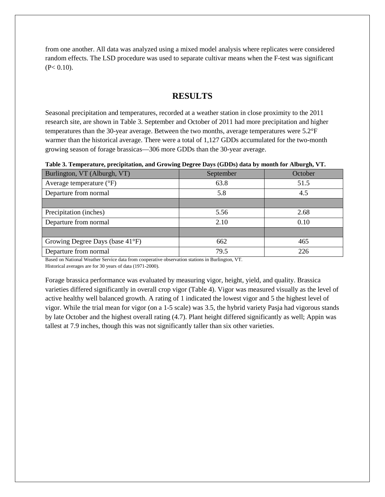from one another. All data was analyzed using a mixed model analysis where replicates were considered random effects. The LSD procedure was used to separate cultivar means when the F-test was significant  $(P< 0.10)$ .

## **RESULTS**

Seasonal precipitation and temperatures, recorded at a weather station in close proximity to the 2011 research site, are shown in Table 3. September and October of 2011 had more precipitation and higher temperatures than the 30-year average. Between the two months, average temperatures were 5.2°F warmer than the historical average. There were a total of 1,127 GDDs accumulated for the two-month growing season of forage brassicas—306 more GDDs than the 30-year average.

**Table 3. Temperature, precipitation, and Growing Degree Days (GDDs) data by month for Alburgh, VT.**

| Burlington, VT (Alburgh, VT)      | September | October |
|-----------------------------------|-----------|---------|
| Average temperature $(^{\circ}F)$ | 63.8      | 51.5    |
| Departure from normal             | 5.8       | 4.5     |
|                                   |           |         |
| Precipitation (inches)            | 5.56      | 2.68    |
| Departure from normal             | 2.10      | 0.10    |
|                                   |           |         |
| Growing Degree Days (base 41°F)   | 662       | 465     |
| Departure from normal             | 79.5      | 226     |

Based on National Weather Service data from cooperative observation stations in Burlington, VT.

Historical averages are for 30 years of data (1971-2000).

Forage brassica performance was evaluated by measuring vigor, height, yield, and quality. Brassica varieties differed significantly in overall crop vigor (Table 4). Vigor was measured visually as the level of active healthy well balanced growth. A rating of 1 indicated the lowest vigor and 5 the highest level of vigor. While the trial mean for vigor (on a 1-5 scale) was 3.5, the hybrid variety Pasja had vigorous stands by late October and the highest overall rating (4.7). Plant height differed significantly as well; Appin was tallest at 7.9 inches, though this was not significantly taller than six other varieties.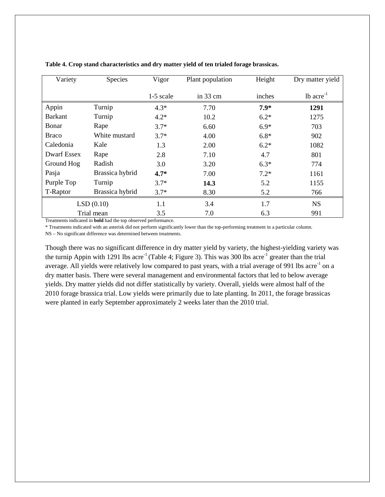| Variety        | Species         | Vigor     | Plant population   | Height | Dry matter yield        |
|----------------|-----------------|-----------|--------------------|--------|-------------------------|
|                |                 | 1-5 scale | in $33 \text{ cm}$ | inches | $1b$ acre <sup>-1</sup> |
| Appin          | Turnip          | $4.3*$    | 7.70               | $7.9*$ | 1291                    |
| <b>Barkant</b> | Turnip          | $4.2*$    | 10.2               | $6.2*$ | 1275                    |
| Bonar          | Rape            | $3.7*$    | 6.60               | $6.9*$ | 703                     |
| <b>Braco</b>   | White mustard   | $3.7*$    | 4.00               | $6.8*$ | 902                     |
| Caledonia      | Kale            | 1.3       | 2.00               | $6.2*$ | 1082                    |
| Dwarf Essex    | Rape            | 2.8       | 7.10               | 4.7    | 801                     |
| Ground Hog     | Radish          | 3.0       | 3.20               | $6.3*$ | 774                     |
| Pasja          | Brassica hybrid | $4.7*$    | 7.00               | $7.2*$ | 1161                    |
| Purple Top     | Turnip          | $3.7*$    | 14.3               | 5.2    | 1155                    |
| T-Raptor       | Brassica hybrid | $3.7*$    | 8.30               | 5.2    | 766                     |
|                | LSD(0.10)       | 1.1       | 3.4                | 1.7    | <b>NS</b>               |
|                | Trial mean      | 3.5       | 7.0                | 6.3    | 991                     |

**Table 4. Crop stand characteristics and dry matter yield of ten trialed forage brassicas.**

Treatments indicated in **bold** had the top observed performance.

\* Treatments indicated with an asterisk did not perform significantly lower than the top-performing treatment in a particular column.

NS – No significant difference was determined between treatments.

Though there was no significant difference in dry matter yield by variety, the highest-yielding variety was the turnip Appin with 1291 lbs acre<sup>-1</sup> (Table 4; Figure 3). This was 300 lbs acre<sup>-1</sup> greater than the trial average. All yields were relatively low compared to past years, with a trial average of 991 lbs acre<sup>-1</sup> on a dry matter basis. There were several management and environmental factors that led to below average yields. Dry matter yields did not differ statistically by variety. Overall, yields were almost half of the 2010 forage brassica trial. Low yields were primarily due to late planting. In 2011, the forage brassicas were planted in early September approximately 2 weeks later than the 2010 trial.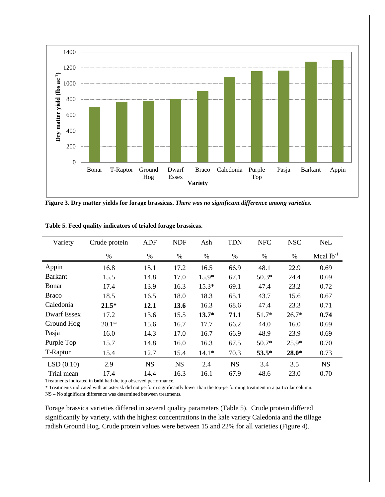

**Figure 3. Dry matter yields for forage brassicas.** *There was no significant difference among varieties.*

| Variety            | Crude protein | <b>ADF</b> | <b>NDF</b> | Ash     | <b>TDN</b> | <b>NFC</b> | <b>NSC</b> | <b>NeL</b>     |
|--------------------|---------------|------------|------------|---------|------------|------------|------------|----------------|
|                    | $\%$          | %          | $\%$       | $\%$    | $\%$       | %          | %          | Mcal $lb^{-1}$ |
| Appin              | 16.8          | 15.1       | 17.2       | 16.5    | 66.9       | 48.1       | 22.9       | 0.69           |
| <b>Barkant</b>     | 15.5          | 14.8       | 17.0       | $15.9*$ | 67.1       | $50.3*$    | 24.4       | 0.69           |
| Bonar              | 17.4          | 13.9       | 16.3       | $15.3*$ | 69.1       | 47.4       | 23.2       | 0.72           |
| <b>Braco</b>       | 18.5          | 16.5       | 18.0       | 18.3    | 65.1       | 43.7       | 15.6       | 0.67           |
| Caledonia          | $21.5*$       | 12.1       | 13.6       | 16.3    | 68.6       | 47.4       | 23.3       | 0.71           |
| <b>Dwarf Essex</b> | 17.2          | 13.6       | 15.5       | $13.7*$ | 71.1       | $51.7*$    | $26.7*$    | 0.74           |
| Ground Hog         | $20.1*$       | 15.6       | 16.7       | 17.7    | 66.2       | 44.0       | 16.0       | 0.69           |
| Pasja              | 16.0          | 14.3       | 17.0       | 16.7    | 66.9       | 48.9       | 23.9       | 0.69           |
| Purple Top         | 15.7          | 14.8       | 16.0       | 16.3    | 67.5       | $50.7*$    | $25.9*$    | 0.70           |
| T-Raptor           | 15.4          | 12.7       | 15.4       | $14.1*$ | 70.3       | $53.5*$    | 28.0*      | 0.73           |
| LSD(0.10)          | 2.9           | <b>NS</b>  | <b>NS</b>  | 2.4     | <b>NS</b>  | 3.4        | 3.5        | <b>NS</b>      |
| Trial mean         | 17.4          | 14.4       | 16.3       | 16.1    | 67.9       | 48.6       | 23.0       | 0.70           |

**Table 5. Feed quality indicators of trialed forage brassicas.**

Treatments indicated in **bold** had the top observed performance.

\* Treatments indicated with an asterisk did not perform significantly lower than the top-performing treatment in a particular column.

NS – No significant difference was determined between treatments.

Forage brassica varieties differed in several quality parameters (Table 5). Crude protein differed significantly by variety, with the highest concentrations in the kale variety Caledonia and the tillage radish Ground Hog. Crude protein values were between 15 and 22% for all varieties (Figure 4).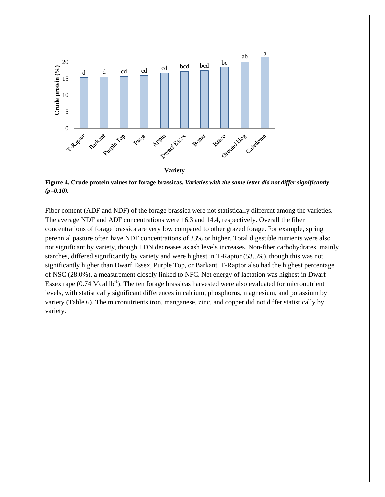

**Figure 4. Crude protein values for forage brassicas.** *Varieties with the same letter did not differ significantly (p=0.10).*

Fiber content (ADF and NDF) of the forage brassica were not statistically different among the varieties. The average NDF and ADF concentrations were 16.3 and 14.4, respectively. Overall the fiber concentrations of forage brassica are very low compared to other grazed forage. For example, spring perennial pasture often have NDF concentrations of 33% or higher. Total digestible nutrients were also not significant by variety, though TDN decreases as ash levels increases. Non-fiber carbohydrates, mainly starches, differed significantly by variety and were highest in T-Raptor (53.5%), though this was not significantly higher than Dwarf Essex, Purple Top, or Barkant. T-Raptor also had the highest percentage of NSC (28.0%), a measurement closely linked to NFC. Net energy of lactation was highest in Dwarf Essex rape  $(0.74 \text{ Meal lb}^{-1})$ . The ten forage brassicas harvested were also evaluated for micronutrient levels, with statistically significant differences in calcium, phosphorus, magnesium, and potassium by variety (Table 6). The micronutrients iron, manganese, zinc, and copper did not differ statistically by variety.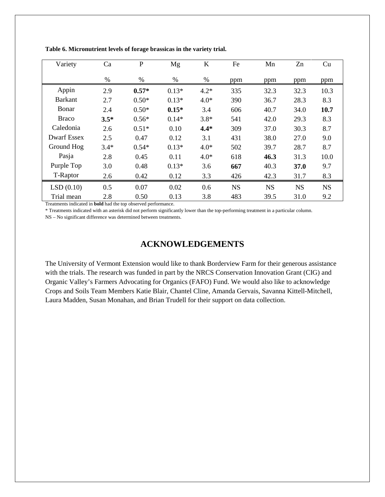| Variety            | Ca     | $\mathbf{P}$ | Mg      | K      | Fe        | Mn        | Zn        | Cu        |
|--------------------|--------|--------------|---------|--------|-----------|-----------|-----------|-----------|
|                    | $\%$   | $\%$         | %       | $\%$   | ppm       | ppm       | ppm       | ppm       |
| Appin              | 2.9    | $0.57*$      | $0.13*$ | $4.2*$ | 335       | 32.3      | 32.3      | 10.3      |
| <b>Barkant</b>     | 2.7    | $0.50*$      | $0.13*$ | $4.0*$ | 390       | 36.7      | 28.3      | 8.3       |
| Bonar              | 2.4    | $0.50*$      | $0.15*$ | 3.4    | 606       | 40.7      | 34.0      | 10.7      |
| <b>Braco</b>       | $3.5*$ | $0.56*$      | $0.14*$ | $3.8*$ | 541       | 42.0      | 29.3      | 8.3       |
| Caledonia          | 2.6    | $0.51*$      | 0.10    | $4.4*$ | 309       | 37.0      | 30.3      | 8.7       |
| <b>Dwarf Essex</b> | 2.5    | 0.47         | 0.12    | 3.1    | 431       | 38.0      | 27.0      | 9.0       |
| Ground Hog         | $3.4*$ | $0.54*$      | $0.13*$ | $4.0*$ | 502       | 39.7      | 28.7      | 8.7       |
| Pasja              | 2.8    | 0.45         | 0.11    | $4.0*$ | 618       | 46.3      | 31.3      | 10.0      |
| Purple Top         | 3.0    | 0.48         | $0.13*$ | 3.6    | 667       | 40.3      | 37.0      | 9.7       |
| T-Raptor           | 2.6    | 0.42         | 0.12    | 3.3    | 426       | 42.3      | 31.7      | 8.3       |
| LSD(0.10)          | 0.5    | 0.07         | 0.02    | 0.6    | <b>NS</b> | <b>NS</b> | <b>NS</b> | <b>NS</b> |
| Trial mean         | 2.8    | 0.50         | 0.13    | 3.8    | 483       | 39.5      | 31.0      | 9.2       |

**Table 6. Micronutrient levels of forage brassicas in the variety trial.**

Treatments indicated in **bold** had the top observed performance.

\* Treatments indicated with an asterisk did not perform significantly lower than the top-performing treatment in a particular column.

NS – No significant difference was determined between treatments.

## **ACKNOWLEDGEMENTS**

The University of Vermont Extension would like to thank Borderview Farm for their generous assistance with the trials. The research was funded in part by the NRCS Conservation Innovation Grant (CIG) and Organic Valley's Farmers Advocating for Organics (FAFO) Fund. We would also like to acknowledge Crops and Soils Team Members Katie Blair, Chantel Cline, Amanda Gervais, Savanna Kittell-Mitchell, Laura Madden, Susan Monahan, and Brian Trudell for their support on data collection.